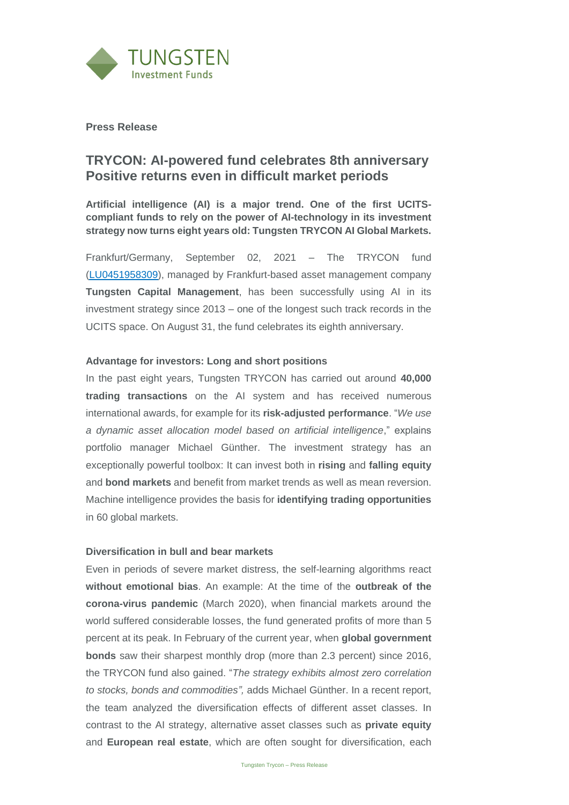

**Press Release**

# **TRYCON: AI-powered fund celebrates 8th anniversary Positive returns even in difficult market periods**

**Artificial intelligence (AI) is a major trend. One of the first UCITScompliant funds to rely on the power of AI-technology in its investment strategy now turns eight years old: Tungsten TRYCON AI Global Markets.**

Frankfurt/Germany, September 02, 2021 – The TRYCON fund [\(LU0451958309\)](https://tungsten-funds.com/fonds/trycon/), managed by Frankfurt-based asset management company **Tungsten Capital Management**, has been successfully using AI in its investment strategy since 2013 – one of the longest such track records in the UCITS space. On August 31, the fund celebrates its eighth anniversary.

## **Advantage for investors: Long and short positions**

In the past eight years, Tungsten TRYCON has carried out around **40,000 trading transactions** on the AI system and has received numerous international awards, for example for its **risk-adjusted performance**. "*We use a dynamic asset allocation model based on artificial intelligence*," explains portfolio manager Michael Günther. The investment strategy has an exceptionally powerful toolbox: It can invest both in **rising** and **falling equity**  and **bond markets** and benefit from market trends as well as mean reversion. Machine intelligence provides the basis for **identifying trading opportunities** in 60 global markets.

#### **Diversification in bull and bear markets**

Even in periods of severe market distress, the self-learning algorithms react **without emotional bias**. An example: At the time of the **outbreak of the corona-virus pandemic** (March 2020), when financial markets around the world suffered considerable losses, the fund generated profits of more than 5 percent at its peak. In February of the current year, when **global government bonds** saw their sharpest monthly drop (more than 2.3 percent) since 2016, the TRYCON fund also gained. "*The strategy exhibits almost zero correlation to stocks, bonds and commodities",* adds Michael Günther. In a recent report, the team analyzed the diversification effects of different asset classes. In contrast to the AI strategy, alternative asset classes such as **private equity** and **European real estate**, which are often sought for diversification, each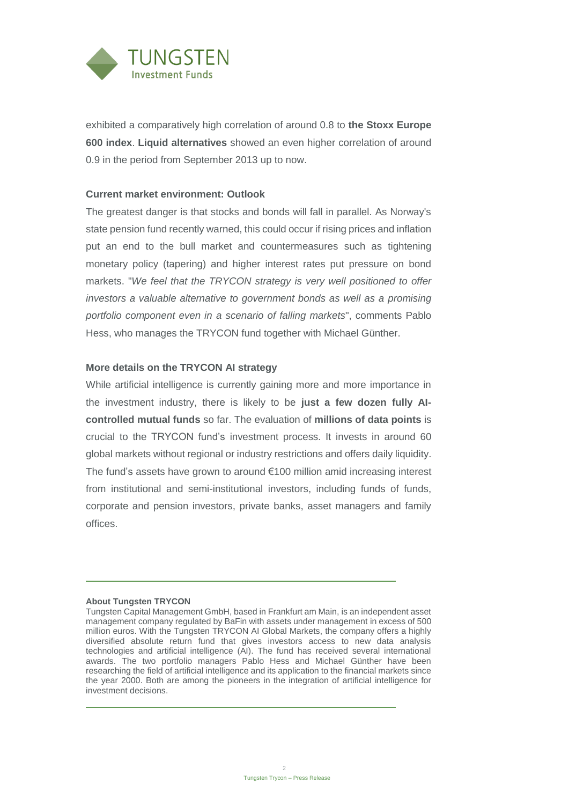

exhibited a comparatively high correlation of around 0.8 to **the Stoxx Europe 600 index**. **Liquid alternatives** showed an even higher correlation of around 0.9 in the period from September 2013 up to now.

#### **Current market environment: Outlook**

The greatest danger is that stocks and bonds will fall in parallel. As Norway's state pension fund recently warned, this could occur if rising prices and inflation put an end to the bull market and countermeasures such as tightening monetary policy (tapering) and higher interest rates put pressure on bond markets. "*We feel that the TRYCON strategy is very well positioned to offer investors a valuable alternative to government bonds as well as a promising portfolio component even in a scenario of falling markets*", comments Pablo Hess, who manages the TRYCON fund together with Michael Günther.

#### **More details on the TRYCON AI strategy**

While artificial intelligence is currently gaining more and more importance in the investment industry, there is likely to be **just a few dozen fully AIcontrolled mutual funds** so far. The evaluation of **millions of data points** is crucial to the TRYCON fund's investment process. It invests in around 60 global markets without regional or industry restrictions and offers daily liquidity. The fund's assets have grown to around €100 million amid increasing interest from institutional and semi-institutional investors, including funds of funds, corporate and pension investors, private banks, asset managers and family offices.

#### **About Tungsten TRYCON**

Tungsten Capital Management GmbH, based in Frankfurt am Main, is an independent asset management company regulated by BaFin with assets under management in excess of 500 million euros. With the Tungsten TRYCON AI Global Markets, the company offers a highly diversified absolute return fund that gives investors access to new data analysis technologies and artificial intelligence (AI). The fund has received several international awards. The two portfolio managers Pablo Hess and Michael Günther have been researching the field of artificial intelligence and its application to the financial markets since the year 2000. Both are among the pioneers in the integration of artificial intelligence for investment decisions.